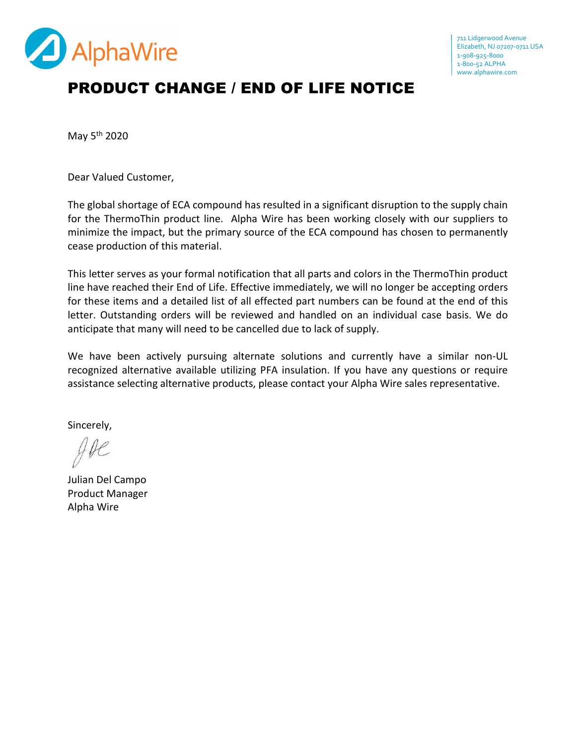

## PRODUCT CHANGE / END OF LIFE NOTICE

May 5th 2020

Dear Valued Customer,

The global shortage of ECA compound has resulted in a significant disruption to the supply chain for the ThermoThin product line. Alpha Wire has been working closely with our suppliers to minimize the impact, but the primary source of the ECA compound has chosen to permanently cease production of this material.

This letter serves as your formal notification that all parts and colors in the ThermoThin product line have reached their End of Life. Effective immediately, we will no longer be accepting orders for these items and a detailed list of all effected part numbers can be found at the end of this letter. Outstanding orders will be reviewed and handled on an individual case basis. We do anticipate that many will need to be cancelled due to lack of supply.

We have been actively pursuing alternate solutions and currently have a similar non-UL recognized alternative available utilizing PFA insulation. If you have any questions or require assistance selecting alternative products, please contact your Alpha Wire sales representative.

Sincerely,

Julian Del Campo Product Manager Alpha Wire